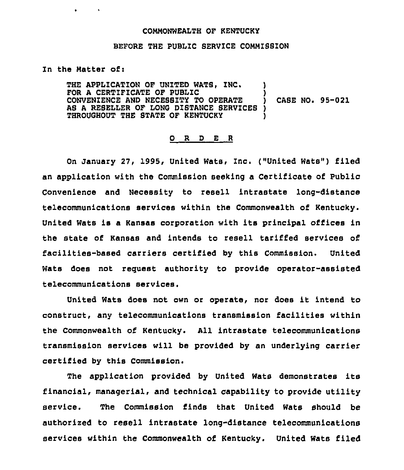## COMMONWEALTH OF KENTUCKY

## BEFORE THE PUBLIC SERVICE CONNIBSZON

## In the Matter of:

 $\mathbf{r}$  and  $\mathbf{r}$ 

THE APPLICATION OF UNITED WATS, INC. FOR A CERTIFICATE OF PUBLIC CONVENIENCE AND NECESSITY TO OPERATE AS A RESELLER OF LONG DISTANCE SERVICES THROUGHOUT THE STATE OF KENTUCKY ) ) CASE NO. 95-021 ) )

## 0 <sup>R</sup> <sup>D</sup> E <sup>R</sup>

On January 27, 1995, United Wats, Inc. ("United Wats") filed an application with the Commission seeking a Certificate of Public Convenience and Necessity to resell intrastate long-distance telecommunications services within the Commonwealth of Kentucky. United Wats is <sup>a</sup> Kansas corporation with its principal offices in the state of Kansas and intends to resell tariffed services of facilities-based carriers certified by this Commission. United Wats does not request authority to provide operator-assisted telecommunications services.

United Wats does not own or operate, nor does it intend to construct, any telecommunications transmission facilities within the Commonwealth of Kentucky. All intrastate telecommunications transmission services will be provided by an underlying carrier certified by this Commission.

The application provided by United Wats demonstrates its financial, managerial, and technical capability to provide utility service. The Commission finds that United Wats should be authorized to resell intrastate long-distance telecommunications services within the Commonwealth of Kentucky. United Wats filed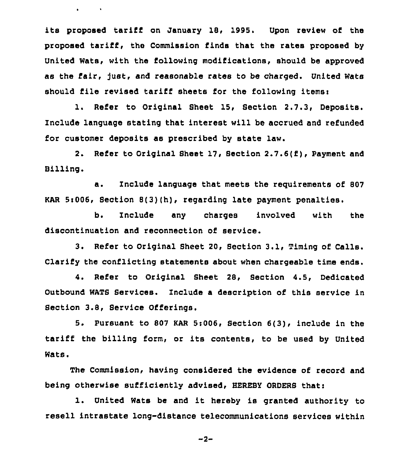its proposed tariff on January 18, 1995. Upon review of the proposed tariff, the Commission finds that the rates proposed by United Wats, with the following modifications, should be approved as the fair, Just, and reasonable rates to be charged. United Wats should file revised tariff sheets for the following items:

 $\mathbf{a}^{\prime}$  and  $\mathbf{a}^{\prime}$  .

1. Refer to Original Sheet 15, Section 2.7.3, Deposits. Include language stating that interest will be accrued and refunded for customer deposits as prescribed by state law.

2. Refer to Original Sheet 17, Section 2.7.6(f), Payment and Billing.

a. Znclude language that meets the reguirements of <sup>807</sup> KAR 5:006, Section 8(3)(h), regarding late payment penalties.

b. Include any charges involved with the discontinuation and reconnection of service.

3. Refer to Original Sheet 20, Section 3.1, Timing of Calls. Clarify the conflicting statements about when chargeable time ends.

4. Refer to Original Sheet 28, Section 4.5, Dedicated Outbound WATS Services. Znclude a description of this service in Section 3.8, Service Offerings.

S. Pursuant to 807 KAR 5s006, Section 6(3), include in the tariff the billing form, or its contents, to be used by United Wats.

The Commission, having considered the evidence of record and being otherwise sufficiently advised, HEREBY ORDERS thati

l. United Wats be and it hereby is granted authority to resell intrastate long-distance telecommunications services within

 $-2-$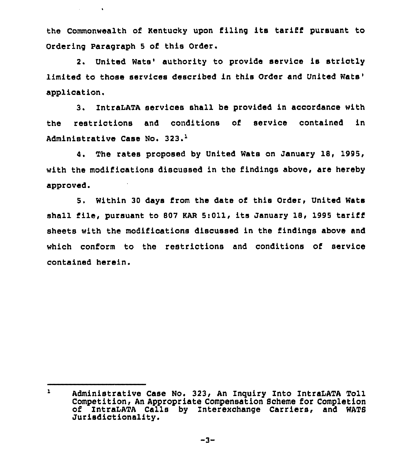the Commonwealth of Kentucky upon filing its tariff pursuant to Ordering Paragraph <sup>5</sup> of this Order.

**Service Control** 

2. United Wats' authority to provide service is strictly limited to those services described in this Order and United application.

3. IntraLATA services shall be provided in accordance with the restrictions and conditions of service contained in Administrative Case No. 323.'

4. The rates proposed by United Wats on January 18, 1995, with the modifications discussed in the findings above, are hereby approved.

5. Within 30 days from the date of this Order, United Wats shall file, pursuant to <sup>807</sup> KAR 5:011, its January 18, 1995 tariff sheets with the modifications discussed in the findings above and which conform to the restrictions and conditions of service contained herein.

 $\mathbf{1}$ Administrative Case No. 323, An Inquiry Into IntraLATA Toll Competition, An Appropriate Compensation 8cheme for Completion of 1'ntraLATA Calls by Znterexchange Carriers, and WATS Jurisdictionality.